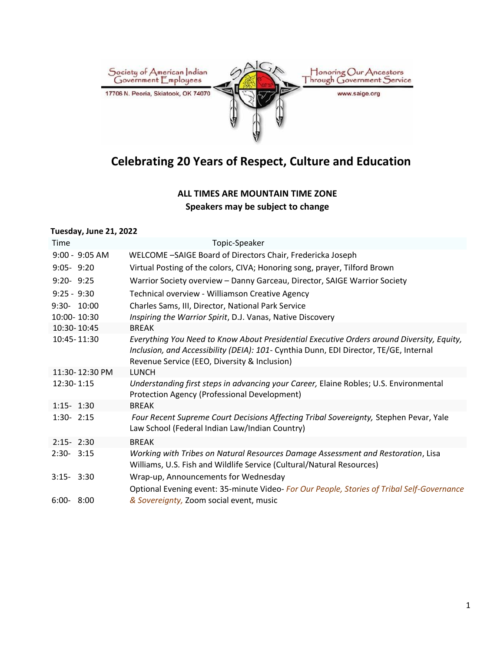

# **Celebrating 20 Years of Respect, Culture and Education**

## **ALL TIMES ARE MOUNTAIN TIME ZONE Speakers may be subject to change**

### **Tuesday, June 21, 2022**

| Time             | Topic-Speaker                                                                                                                                                                                                                      |
|------------------|------------------------------------------------------------------------------------------------------------------------------------------------------------------------------------------------------------------------------------|
| $9:00 - 9:05$ AM | WELCOME -SAIGE Board of Directors Chair, Fredericka Joseph                                                                                                                                                                         |
| $9:05 - 9:20$    | Virtual Posting of the colors, CIVA; Honoring song, prayer, Tilford Brown                                                                                                                                                          |
| $9:20 - 9:25$    | Warrior Society overview - Danny Garceau, Director, SAIGE Warrior Society                                                                                                                                                          |
| $9:25 - 9:30$    | Technical overview - Williamson Creative Agency                                                                                                                                                                                    |
| 9:30- 10:00      | Charles Sams, III, Director, National Park Service                                                                                                                                                                                 |
| 10:00-10:30      | Inspiring the Warrior Spirit, D.J. Vanas, Native Discovery                                                                                                                                                                         |
| 10:30-10:45      | <b>BREAK</b>                                                                                                                                                                                                                       |
| 10:45-11:30      | Everything You Need to Know About Presidential Executive Orders around Diversity, Equity,<br>Inclusion, and Accessibility (DEIA): 101- Cynthia Dunn, EDI Director, TE/GE, Internal<br>Revenue Service (EEO, Diversity & Inclusion) |
| 11:30-12:30 PM   | <b>LUNCH</b>                                                                                                                                                                                                                       |
| 12:30-1:15       | Understanding first steps in advancing your Career, Elaine Robles; U.S. Environmental<br><b>Protection Agency (Professional Development)</b>                                                                                       |
| $1:15 - 1:30$    | <b>BREAK</b>                                                                                                                                                                                                                       |
| $1:30 - 2:15$    | Four Recent Supreme Court Decisions Affecting Tribal Sovereignty, Stephen Pevar, Yale<br>Law School (Federal Indian Law/Indian Country)                                                                                            |
| $2:15 - 2:30$    | <b>BREAK</b>                                                                                                                                                                                                                       |
| $2:30 - 3:15$    | Working with Tribes on Natural Resources Damage Assessment and Restoration, Lisa<br>Williams, U.S. Fish and Wildlife Service (Cultural/Natural Resources)                                                                          |
| $3:15 - 3:30$    | Wrap-up, Announcements for Wednesday                                                                                                                                                                                               |
| $6:00 - 8:00$    | Optional Evening event: 35-minute Video-For Our People, Stories of Tribal Self-Governance<br>& Sovereignty, Zoom social event, music                                                                                               |
|                  |                                                                                                                                                                                                                                    |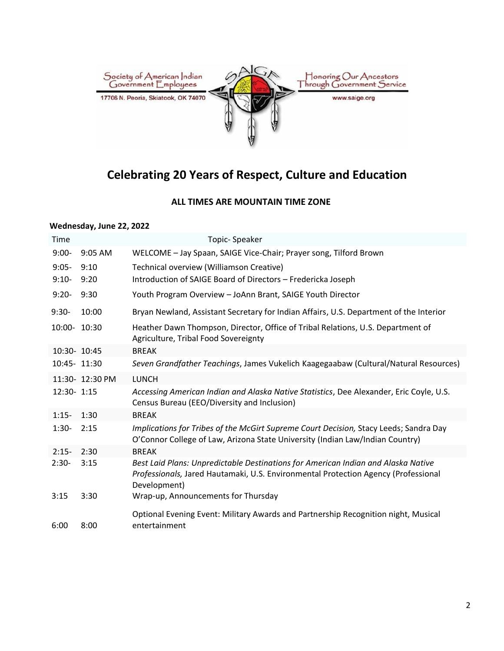

## **Celebrating 20 Years of Respect, Culture and Education**

### **ALL TIMES ARE MOUNTAIN TIME ZONE**

#### **Wednesday, June 22, 2022**

| Time         |                 | Topic-Speaker                                                                                                                                                                           |
|--------------|-----------------|-----------------------------------------------------------------------------------------------------------------------------------------------------------------------------------------|
| $9:00-$      | 9:05 AM         | WELCOME - Jay Spaan, SAIGE Vice-Chair; Prayer song, Tilford Brown                                                                                                                       |
| $9:05 -$     | 9:10            | Technical overview (Williamson Creative)                                                                                                                                                |
| $9:10-$      | 9:20            | Introduction of SAIGE Board of Directors - Fredericka Joseph                                                                                                                            |
| $9:20-$      | 9:30            | Youth Program Overview - JoAnn Brant, SAIGE Youth Director                                                                                                                              |
| $9:30-$      | 10:00           | Bryan Newland, Assistant Secretary for Indian Affairs, U.S. Department of the Interior                                                                                                  |
| 10:00- 10:30 |                 | Heather Dawn Thompson, Director, Office of Tribal Relations, U.S. Department of<br>Agriculture, Tribal Food Sovereignty                                                                 |
| 10:30- 10:45 |                 | <b>BREAK</b>                                                                                                                                                                            |
| 10:45- 11:30 |                 | Seven Grandfather Teachings, James Vukelich Kaagegaabaw (Cultural/Natural Resources)                                                                                                    |
|              | 11:30- 12:30 PM | <b>LUNCH</b>                                                                                                                                                                            |
| 12:30- 1:15  |                 | Accessing American Indian and Alaska Native Statistics, Dee Alexander, Eric Coyle, U.S.<br>Census Bureau (EEO/Diversity and Inclusion)                                                  |
| $1:15-$      | 1:30            | <b>BREAK</b>                                                                                                                                                                            |
| $1:30-$      | 2:15            | Implications for Tribes of the McGirt Supreme Court Decision, Stacy Leeds; Sandra Day<br>O'Connor College of Law, Arizona State University (Indian Law/Indian Country)                  |
| $2:15-$      | 2:30            | <b>BREAK</b>                                                                                                                                                                            |
| $2:30-$      | 3:15            | Best Laid Plans: Unpredictable Destinations for American Indian and Alaska Native<br>Professionals, Jared Hautamaki, U.S. Environmental Protection Agency (Professional<br>Development) |
| 3:15         | 3:30            | Wrap-up, Announcements for Thursday                                                                                                                                                     |
| 6:00         | 8:00            | Optional Evening Event: Military Awards and Partnership Recognition night, Musical<br>entertainment                                                                                     |